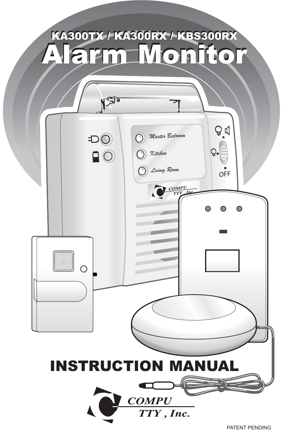# KA300TX / KA300RX / KBS300RX KA300TX / KA300RX / KBS300RX Alarm Monitor Alarm Monitor

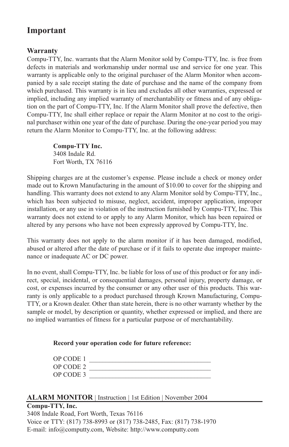# **Important**

#### **Warranty**

Compu-TTY, Inc. warrants that the Alarm Monitor sold by Compu-TTY, Inc. is free from defects in materials and workmanship under normal use and service for one year. This warranty is applicable only to the original purchaser of the Alarm Monitor when accompanied by a sale receipt stating the date of purchase and the name of the company from which purchased. This warranty is in lieu and excludes all other warranties, expressed or implied, including any implied warranty of merchantability or fitness and of any obligation on the part of Compu-TTY, Inc. If the Alarm Monitor shall prove the defective, then Compu-TTY, Inc shall either replace or repair the Alarm Monitor at no cost to the original purchaser within one year of the date of purchase. During the one-year period you may return the Alarm Monitor to Compu-TTY, Inc. at the following address:

> **Compu-TTY Inc.** 3408 Indale Rd. Fort Worth, TX 76116

Shipping charges are at the customer's expense. Please include a check or money order made out to Krown Manufacturing in the amount of \$10.00 to cover for the shipping and handling. This warranty does not extend to any Alarm Monitor sold by Compu-TTY, Inc., which has been subjected to misuse, neglect, accident, improper application, improper installation, or any use in violation of the instruction furnished by Compu-TTY, Inc. This warranty does not extend to or apply to any Alarm Monitor, which has been repaired or altered by any persons who have not been expressly approved by Compu-TTY, Inc.

This warranty does not apply to the alarm monitor if it has been damaged, modified, abused or altered after the date of purchase or if it fails to operate due improper maintenance or inadequate AC or DC power.

In no event, shall Compu-TTY, Inc. be liable for loss of use of this product or for any indirect, special, incidental, or consequential damages, personal injury, property damage, or cost, or expenses incurred by the consumer or any other user of this products. This warranty is only applicable to a product purchased through Krown Manufacturing, Compu-TTY, or a Krown dealer. Other than state herein, there is no other warranty whether by the sample or model, by description or quantity, whether expressed or implied, and there are no implied warranties of fitness for a particular purpose or of merchantability.

#### **Record your operation code for future reference:**

| OP CODE 1 |  |
|-----------|--|
| OP CODE 2 |  |
| OP CODE 3 |  |

#### **ALARM MONITOR** | Instruction | 1st Edition | November 2004

#### **Compu-TTY, Inc.** 3408 Indale Road, Fort Worth, Texas 76116 Voice or TTY: (817) 738-8993 or (817) 738-2485, Fax: (817) 738-1970 E-mail: info@computty.com, Website: http://www.computty.com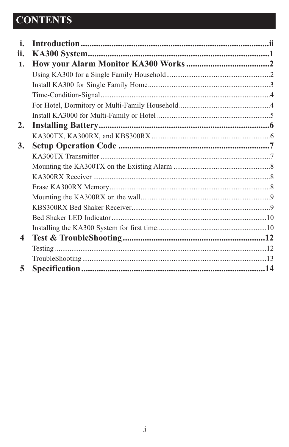# **CONTENTS**

| i.               |  |
|------------------|--|
| ii.              |  |
| 1.               |  |
|                  |  |
|                  |  |
|                  |  |
|                  |  |
|                  |  |
| 2.               |  |
|                  |  |
| 3.               |  |
|                  |  |
|                  |  |
|                  |  |
|                  |  |
|                  |  |
|                  |  |
|                  |  |
|                  |  |
| $\boldsymbol{4}$ |  |
|                  |  |
|                  |  |
| 5                |  |
|                  |  |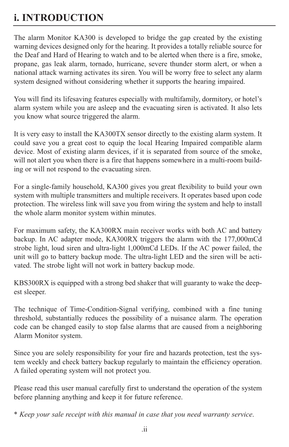# **i. INTRODUCTION**

The alarm Monitor KA300 is developed to bridge the gap created by the existing warning devices designed only for the hearing. It provides a totally reliable source for the Deaf and Hard of Hearing to watch and to be alerted when there is a fire, smoke, propane, gas leak alarm, tornado, hurricane, severe thunder storm alert, or when a national attack warning activates its siren. You will be worry free to select any alarm system designed without considering whether it supports the hearing impaired.

You will find its lifesaving features especially with multifamily, dormitory, or hotel's alarm system while you are asleep and the evacuating siren is activated. It also lets you know what source triggered the alarm.

It is very easy to install the KA300TX sensor directly to the existing alarm system. It could save you a great cost to equip the local Hearing Impaired compatible alarm device. Most of existing alarm devices, if it is separated from source of the smoke, will not alert you when there is a fire that happens somewhere in a multi-room building or will not respond to the evacuating siren.

For a single-family household, KA300 gives you great flexibility to build your own system with multiple transmitters and multiple receivers. It operates based upon code protection. The wireless link will save you from wiring the system and help to install the whole alarm monitor system within minutes.

For maximum safety, the KA300RX main receiver works with both AC and battery backup. In AC adapter mode, KA300RX triggers the alarm with the 177,000mCd strobe light, loud siren and ultra-light 1,000mCd LEDs. If the AC power failed, the unit will go to battery backup mode. The ultra-light LED and the siren will be activated. The strobe light will not work in battery backup mode.

KBS300RX is equipped with a strong bed shaker that will guaranty to wake the deepest sleeper.

The technique of Time-Condition-Signal verifying, combined with a fine tuning threshold, substantially reduces the possibility of a nuisance alarm. The operation code can be changed easily to stop false alarms that are caused from a neighboring Alarm Monitor system.

Since you are solely responsibility for your fire and hazards protection, test the system weekly and check battery backup regularly to maintain the efficiency operation. A failed operating system will not protect you.

Please read this user manual carefully first to understand the operation of the system before planning anything and keep it for future reference.

\* *Keep your sale receipt with this manual in case that you need warranty service*.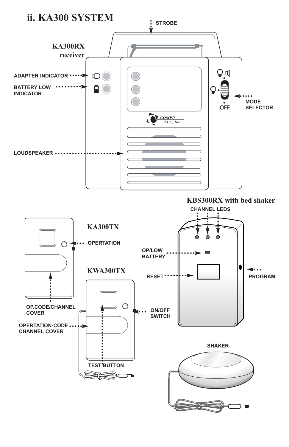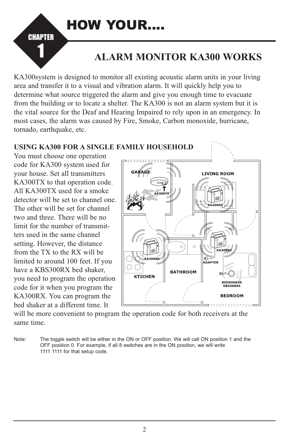

# **ALARM MONITOR KA300 WORKS**

KA300system is designed to monitor all existing acoustic alarm units in your living area and transfer it to a visual and vibration alarm. It will quickly help you to determine what source triggered the alarm and give you enough time to evacuate from the building or to locate a shelter. The KA300 is not an alarm system but it is the vital source for the Deaf and Hearing Impaired to rely upon in an emergency. In most cases, the alarm was caused by Fire, Smoke, Carbon monoxide, hurricane, tornado, earthquake, etc.



will be more convenient to program the operation code for both receivers at the same time.

Note: The toggle switch will be either in the ON or OFF position. We will call ON position 1 and the OFF position 0. For example, if all 8 switches are in the ON position, we will write 1111 1111 for that setup code.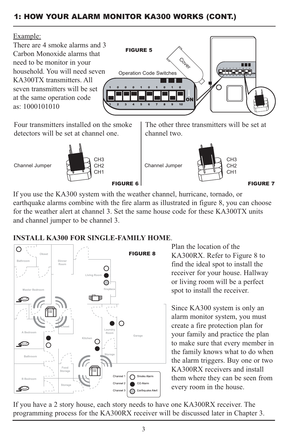# 1: HOW YOUR ALARM MONITOR KA300 WORKS (CONT.)

#### Example:

There are 4 smoke alarms and 3 Carbon Monoxide alarms that need to be monitor in your household. You will need seven KA300TX transmitters. All seven transmitters will be set at the same operation code as: 1000101010



Four transmitters installed on the smoke detectors will be set at channel one.



The other three transmitters will be set at channel two.



If you use the KA300 system with the weather channel, hurricane, tornado, or earthquake alarms combine with the fire alarm as illustrated in figure 8, you can choose for the weather alert at channel 3. Set the same house code for these KA300TX units and channel jumper to be channel 3.

# **INSTALL KA300 FOR SINGLE-FAMILY HOME**.



Plan the location of the KA300RX. Refer to Figure 8 to find the ideal spot to install the receiver for your house. Hallway or living room will be a perfect spot to install the receiver.

Since KA300 system is only an alarm monitor system, you must create a fire protection plan for your family and practice the plan to make sure that every member in the family knows what to do when the alarm triggers. Buy one or two KA300RX receivers and install them where they can be seen from every room in the house.

If you have a 2 story house, each story needs to have one KA300RX receiver. The programming process for the KA300RX receiver will be discussed later in Chapter 3.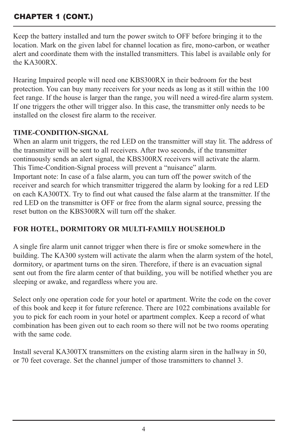# CHAPTER 1 (CONT.)

Keep the battery installed and turn the power switch to OFF before bringing it to the location. Mark on the given label for channel location as fire, mono-carbon, or weather alert and coordinate them with the installed transmitters. This label is available only for the KA300RX.

Hearing Impaired people will need one KBS300RX in their bedroom for the best protection. You can buy many receivers for your needs as long as it still within the 100 feet range. If the house is larger than the range, you will need a wired-fire alarm system. If one triggers the other will trigger also. In this case, the transmitter only needs to be installed on the closest fire alarm to the receiver.

#### **TIME-CONDITION-SIGNAL**

When an alarm unit triggers, the red LED on the transmitter will stay lit. The address of the transmitter will be sent to all receivers. After two seconds, if the transmitter continuously sends an alert signal, the KBS300RX receivers will activate the alarm. This Time-Condition-Signal process will prevent a "nuisance" alarm. Important note: In case of a false alarm, you can turn off the power switch of the receiver and search for which transmitter triggered the alarm by looking for a red LED on each KA300TX. Try to find out what caused the false alarm at the transmitter. If the red LED on the transmitter is OFF or free from the alarm signal source, pressing the reset button on the KBS300RX will turn off the shaker.

#### **FOR HOTEL, DORMITORY OR MULTI-FAMILY HOUSEHOLD**

A single fire alarm unit cannot trigger when there is fire or smoke somewhere in the building. The KA300 system will activate the alarm when the alarm system of the hotel, dormitory, or apartment turns on the siren. Therefore, if there is an evacuation signal sent out from the fire alarm center of that building, you will be notified whether you are sleeping or awake, and regardless where you are.

Select only one operation code for your hotel or apartment. Write the code on the cover of this book and keep it for future reference. There are 1022 combinations available for you to pick for each room in your hotel or apartment complex. Keep a record of what combination has been given out to each room so there will not be two rooms operating with the same code.

Install several KA300TX transmitters on the existing alarm siren in the hallway in 50, or 70 feet coverage. Set the channel jumper of those transmitters to channel 3.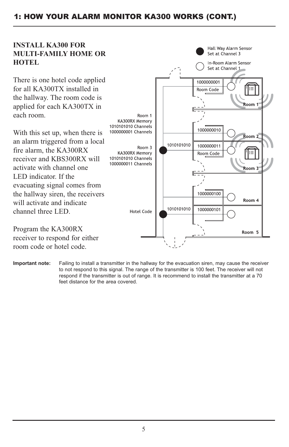#### 1: HOW YOUR ALARM MONITOR KA300 WORKS (CONT.)

#### **INSTALL KA300 FOR MULTI-FAMILY HOME OR HOTEL**

There is one hotel code applied for all KA300TX installed in the hallway. The room code is applied for each KA300TX in each room.

With this set up, when there is an alarm triggered from a local fire alarm, the KA300RX receiver and KBS300RX will activate with channel one LED indicator. If the evacuating signal comes from the hallway siren, the receivers will activate and indicate channel three LED.

Set at Channel 3 In-Room Alarm Sensor Set at Channel 1 1000000001 Room Code Room<sub>1</sub> Room 1 KA300RX Memory 1010101010 Channels 1000000010 1000000001 Channels Room 2 1010101010 1000000011 Room 3 KA300RX Memory Room Code l:Ξ 1010101010 Channels 1000000011 Channels Room<sub>3</sub> 1000000100  $R<sub>nom</sub>$ 1010101010 1000000101 **Hotel Code** Room 5

Hall Way Alarm Sensor

Program the KA300RX receiver to respond for either room code or hotel code.

**Important note:** Failing to install a transmitter in the hallway for the evacuation siren, may cause the receiver to not respond to this signal. The range of the transmitter is 100 feet. The receiver will not respond if the transmitter is out of range. It is recommend to install the transmitter at a 70 feet distance for the area covered.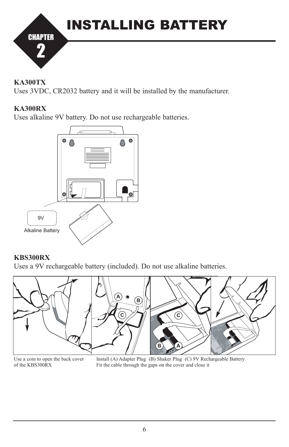

#### **KA300TX**

Uses 3VDC, CR2032 battery and it will be installed by the manufacturer.

#### **KA300RX**

Uses alkaline 9V battery. Do not use rechargeable batteries.



#### **KBS300RX**

Uses a 9V rechargeable battery (included). Do not use alkaline batteries.



Use a coin to open the back cover of the KBS300RX

Install (A) Adapter Plug (B) Shaker Plug (C) 9V Rechargeable Battery Fit the cable through the gaps on the cover and close it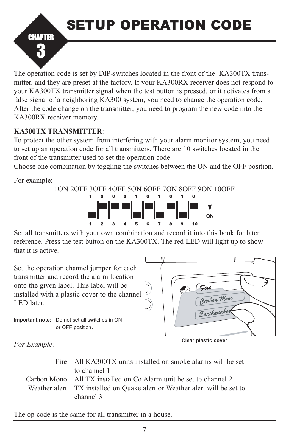SETUP OPERATION CODE



The operation code is set by DIP-switches located in the front of the KA300TX transmitter, and they are preset at the factory. If your KA300RX receiver does not respond to your KA300TX transmitter signal when the test button is pressed, or it activates from a false signal of a neighboring KA300 system, you need to change the operation code. After the code change on the transmitter, you need to program the new code into the KA300RX receiver memory.

### **KA300TX TRANSMITTER**:

To protect the other system from interfering with your alarm monitor system, you need to set up an operation code for all transmitters. There are 10 switches located in the front of the transmitter used to set the operation code.

Choose one combination by toggling the switches between the ON and the OFF position.

For example:



Set all transmitters with your own combination and record it into this book for later reference. Press the test button on the KA300TX. The red LED will light up to show that it is active.

Set the operation channel jumper for each transmitter and record the alarm location onto the given label. This label will be installed with a plastic cover to the channel LED later.



**Important note:** Do not set all switches in ON or OFF position.

**Clear plastic cover**

*For Example:*

Fire: All KA300TX units installed on smoke alarms will be set to channel 1 Carbon Mono: All TX installed on Co Alarm unit be set to channel 2 Weather alert: TX installed on Quake alert or Weather alert will be set to channel 3

The op code is the same for all transmitter in a house.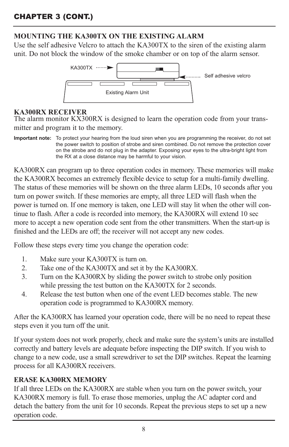# **MOUNTING THE KA300TX ON THE EXISTING ALARM**

Use the self adhesive Velcro to attach the KA300TX to the siren of the existing alarm unit. Do not block the window of the smoke chamber or on top of the alarm sensor.



#### **KA300RX RECEIVER**

The alarm monitor KX300RX is designed to learn the operation code from your transmitter and program it to the memory.

**Important note:** To protect your hearing from the loud siren when you are programming the receiver, do not set the power switch to position of strobe and siren combined. Do not remove the protection cover on the strobe and do not plug in the adapter. Exposing your eyes to the ultra-bright light from the RX at a close distance may be harmful to your vision.

KA300RX can program up to three operation codes in memory. These memories will make the KA300RX becomes an extremely flexible device to setup for a multi-family dwelling. The status of these memories will be shown on the three alarm LEDs, 10 seconds after you turn on power switch. If these memories are empty, all three LED will flash when the power is turned on. If one memory is taken, one LED will stay lit when the other will continue to flash. After a code is recorded into memory, the KA300RX will extend 10 sec more to accept a new operation code sent from the other transmitters. When the start-up is finished and the LEDs are off; the receiver will not accept any new codes.

Follow these steps every time you change the operation code:

- 1. Make sure your KA300TX is turn on.
- 2. Take one of the KA300TX and set it by the KA300RX.
- 3. Turn on the KA300RX by sliding the power switch to strobe only position while pressing the test button on the KA300TX for 2 seconds.
- 4. Release the test button when one of the event LED becomes stable. The new operation code is programmed to KA300RX memory.

After the KA300RX has learned your operation code, there will be no need to repeat these steps even it you turn off the unit.

If your system does not work properly, check and make sure the system's units are installed correctly and battery levels are adequate before inspecting the DIP switch. If you wish to change to a new code, use a small screwdriver to set the DIP switches. Repeat the learning process for all KA300RX receivers.

#### **ERASE KA300RX MEMORY**

If all three LEDs on the KA300RX are stable when you turn on the power switch, your KA300RX memory is full. To erase those memories, unplug the AC adapter cord and detach the battery from the unit for 10 seconds. Repeat the previous steps to set up a new operation code.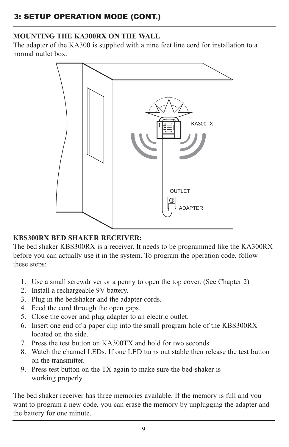# **MOUNTING THE KA300RX ON THE WALL**

The adapter of the KA300 is supplied with a nine feet line cord for installation to a normal outlet box.



#### **KBS300RX BED SHAKER RECEIVER:**

The bed shaker KBS300RX is a receiver. It needs to be programmed like the KA300RX before you can actually use it in the system. To program the operation code, follow these steps:

- 1. Use a small screwdriver or a penny to open the top cover. (See Chapter 2)
- 2. Install a rechargeable 9V battery.
- 3. Plug in the bedshaker and the adapter cords.
- 4. Feed the cord through the open gaps.
- 5. Close the cover and plug adapter to an electric outlet.
- 6. Insert one end of a paper clip into the small program hole of the KBS300RX located on the side.
- 7. Press the test button on KA300TX and hold for two seconds.
- 8. Watch the channel LEDs. If one LED turns out stable then release the test button on the transmitter.
- 9. Press test button on the TX again to make sure the bed-shaker is working properly.

The bed shaker receiver has three memories available. If the memory is full and you want to program a new code, you can erase the memory by unplugging the adapter and the battery for one minute.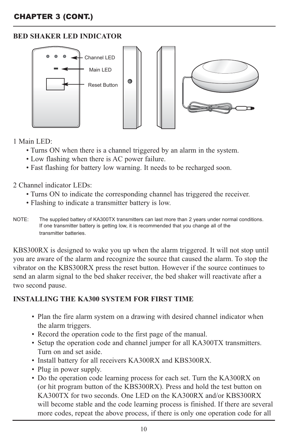### **BED SHAKER LED INDICATOR**



#### 1 Main LED:

- Turns ON when there is a channel triggered by an alarm in the system.
- Low flashing when there is AC power failure.
- Fast flashing for battery low warning. It needs to be recharged soon.

2 Channel indicator LEDs:

- Turns ON to indicate the corresponding channel has triggered the receiver.
- Flashing to indicate a transmitter battery is low.
- NOTE: The supplied battery of KA300TX transmitters can last more than 2 years under normal conditions. If one transmitter battery is getting low, it is recommended that you change all of the transmitter batteries.

KBS300RX is designed to wake you up when the alarm triggered. It will not stop until you are aware of the alarm and recognize the source that caused the alarm. To stop the vibrator on the KBS300RX press the reset button. However if the source continues to send an alarm signal to the bed shaker receiver, the bed shaker will reactivate after a two second pause.

#### **INSTALLING THE KA300 SYSTEM FOR FIRST TIME**

- Plan the fire alarm system on a drawing with desired channel indicator when the alarm triggers.
- Record the operation code to the first page of the manual.
- Setup the operation code and channel jumper for all KA300TX transmitters. Turn on and set aside.
- Install battery for all receivers KA300RX and KBS300RX.
- Plug in power supply.
- Do the operation code learning process for each set. Turn the KA300RX on (or hit program button of the KBS300RX). Press and hold the test button on KA300TX for two seconds. One LED on the KA300RX and/or KBS300RX will become stable and the code learning process is finished. If there are several more codes, repeat the above process, if there is only one operation code for all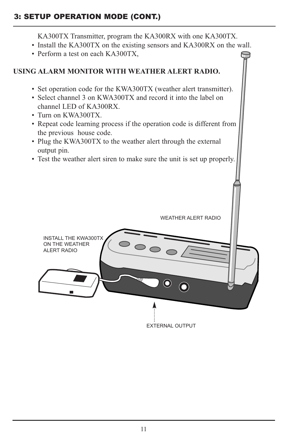# 3: SETUP OPERATION MODE (CONT.)

KA300TX Transmitter, program the KA300RX with one KA300TX.

- Install the KA300TX on the existing sensors and KA300RX on the wall.
- Perform a test on each KA300TX,

# **USING ALARM MONITOR WITH WEATHER ALERT RADIO.**

- Set operation code for the KWA300TX (weather alert transmitter).
- Select channel 3 on KWA300TX and record it into the label on channel LED of KA300RX.
- Turn on KWA300TX.
- Repeat code learning process if the operation code is different from the previous house code.
- Plug the KWA300TX to the weather alert through the external output pin.
- Test the weather alert siren to make sure the unit is set up properly.

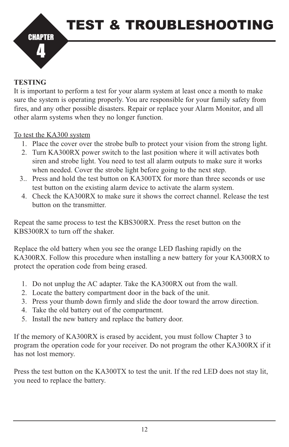

#### **TESTING**

It is important to perform a test for your alarm system at least once a month to make sure the system is operating properly. You are responsible for your family safety from fires, and any other possible disasters. Repair or replace your Alarm Monitor, and all other alarm systems when they no longer function.

#### To test the KA300 system

- 1. Place the cover over the strobe bulb to protect your vision from the strong light.
- 2. Turn KA300RX power switch to the last position where it will activates both siren and strobe light. You need to test all alarm outputs to make sure it works when needed. Cover the strobe light before going to the next step.
- 3.. Press and hold the test button on KA300TX for more than three seconds or use test button on the existing alarm device to activate the alarm system.
- 4. Check the KA300RX to make sure it shows the correct channel. Release the test button on the transmitter.

Repeat the same process to test the KBS300RX. Press the reset button on the KBS300RX to turn off the shaker.

Replace the old battery when you see the orange LED flashing rapidly on the KA300RX. Follow this procedure when installing a new battery for your KA300RX to protect the operation code from being erased.

- 1. Do not unplug the AC adapter. Take the KA300RX out from the wall.
- 2. Locate the battery compartment door in the back of the unit.
- 3. Press your thumb down firmly and slide the door toward the arrow direction.
- 4. Take the old battery out of the compartment.
- 5. Install the new battery and replace the battery door.

If the memory of KA300RX is erased by accident, you must follow Chapter 3 to program the operation code for your receiver. Do not program the other KA300RX if it has not lost memory.

Press the test button on the KA300TX to test the unit. If the red LED does not stay lit, you need to replace the battery.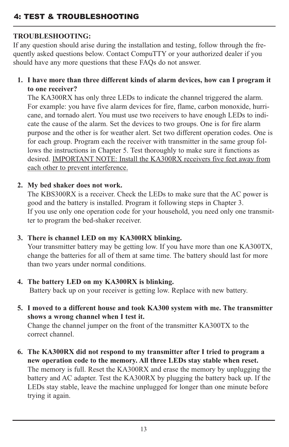# 4: TEST & TROUBLESHOOTING

# **TROUBLESHOOTING:**

If any question should arise during the installation and testing, follow through the frequently asked questions below. Contact CompuTTY or your authorized dealer if you should have any more questions that these FAQs do not answer.

**1. I have more than three different kinds of alarm devices, how can I program it to one receiver?**

The KA300RX has only three LEDs to indicate the channel triggered the alarm. For example: you have five alarm devices for fire, flame, carbon monoxide, hurricane, and tornado alert. You must use two receivers to have enough LEDs to indicate the cause of the alarm. Set the devices to two groups. One is for fire alarm purpose and the other is for weather alert. Set two different operation codes. One is for each group. Program each the receiver with transmitter in the same group follows the instructions in Chapter 5. Test thoroughly to make sure it functions as desired. IMPORTANT NOTE: Install the KA300RX receivers five feet away from each other to prevent interference.

#### **2. My bed shaker does not work.**

The KBS300RX is a receiver. Check the LEDs to make sure that the AC power is good and the battery is installed. Program it following steps in Chapter 3. If you use only one operation code for your household, you need only one transmitter to program the bed-shaker receiver.

#### **3. There is channel LED on my KA300RX blinking.**

Your transmitter battery may be getting low. If you have more than one KA300TX, change the batteries for all of them at same time. The battery should last for more than two years under normal conditions.

#### **4. The battery LED on my KA300RX is blinking.**

Battery back up on your receiver is getting low. Replace with new battery.

**5. I moved to a different house and took KA300 system with me. The transmitter shows a wrong channel when I test it.**

Change the channel jumper on the front of the transmitter KA300TX to the correct channel.

**6. The KA300RX did not respond to my transmitter after I tried to program a new operation code to the memory. All three LEDs stay stable when reset.** The memory is full. Reset the KA300RX and erase the memory by unplugging the battery and AC adapter. Test the KA300RX by plugging the battery back up. If the LEDs stay stable, leave the machine unplugged for longer than one minute before trying it again.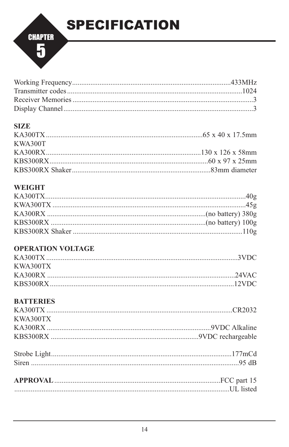

#### **SIZE**

| KWA300T |  |
|---------|--|
|         |  |
|         |  |
|         |  |

# **WEIGHT**

# **OPERATION VOLTAGE**

| KWA300TX |  |
|----------|--|
|          |  |
|          |  |

# **BATTERIES**

| KWA300TX |  |
|----------|--|
|          |  |
|          |  |
|          |  |
|          |  |